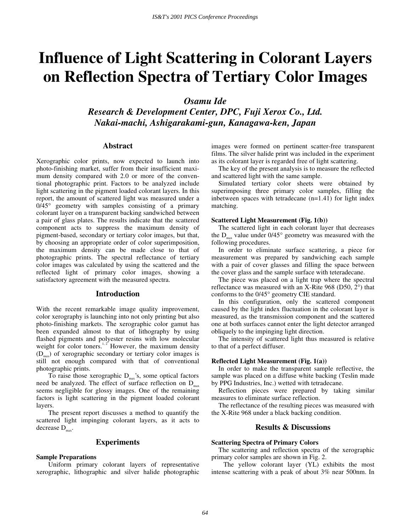# **Influence of Light Scattering in Colorant Layers on Reflection Spectra of Tertiary Color Images**

*Osamu Ide* 

*Research & Development Center, DPC, Fuji Xerox Co., Ltd. Nakai-machi, Ashigarakami-gun, Kanagawa-ken, Japan* 

## **Abstract**

Xerographic color prints, now expected to launch into photo-finishing market, suffer from their insufficient maximum density compared with 2.0 or more of the conventional photographic print. Factors to be analyzed include light scattering in the pigment loaded colorant layers. In this report, the amount of scattered light was measured under a 0/45° geometry with samples consisting of a primary colorant layer on a transparent backing sandwiched between a pair of glass plates. The results indicate that the scattered component acts to suppress the maximum density of pigment-based, secondary or tertiary color images, but that, by choosing an appropriate order of color superimposition, the maximum density can be made close to that of photographic prints. The spectral reflectance of tertiary color images was calculated by using the scattered and the reflected light of primary color images, showing a satisfactory agreement with the measured spectra.

## **Introduction**

With the recent remarkable image quality improvement, color xerography is launching into not only printing but also photo-finishing markets. The xerographic color gamut has been expanded almost to that of lithography by using flashed pigments and polyester resins with low molecular weight for color toners.<sup>1, 2</sup> However, the maximum density  $(D<sub>max</sub>)$  of xerographic secondary or tertiary color images is still not enough compared with that of conventional photographic prints.

To raise those xerographic  $D_{\text{max}}$ 's, some optical factors need be analyzed. The effect of surface reflection on  $D_{\text{max}}$ seems negligible for glossy images. One of the remaining factors is light scattering in the pigment loaded colorant layers.

The present report discusses a method to quantify the scattered light impinging colorant layers, as it acts to decrease  $D_{\text{max}}$ .

# **Experiments**

#### **Sample Preparations**

Uniform primary colorant layers of representative xerographic, lithographic and silver halide photographic images were formed on pertinent scatter-free transparent films. The silver halide print was included in the experiment as its colorant layer is regarded free of light scattering.

The key of the present analysis is to measure the reflected and scattered light with the same sample.

Simulated tertiary color sheets were obtained by superimposing three primary color samples, filling the inbetween spaces with tetradecane (n=1.41) for light index matching.

#### **Scattered Light Measurement (Fig. 1(b))**

The scattered light in each colorant layer that decreases the  $D_{\text{max}}$  value under 0/45 $\degree$  geometry was measured with the following procedures.

In order to eliminate surface scattering, a piece for measurement was prepared by sandwiching each sample with a pair of cover glasses and filling the space between the cover glass and the sample surface with teteradecane.

The piece was placed on a light trap where the spectral reflectance was measured with an X-Rite 968 (D50, 2°) that conforms to the 0/45° geometry CIE standard.

In this configuration, only the scattered component caused by the light index fluctuation in the colorant layer is measured, as the transmission component and the scattered one at both surfaces cannot enter the light detector arranged obliquely to the impinging light direction.

The intensity of scattered light thus measured is relative to that of a perfect diffuser.

#### **Reflected Light Measurement (Fig. 1(a))**

In order to make the transparent sample reflective, the sample was placed on a diffuse white backing (Teslin made by PPG Industries, Inc.) wetted with tetradecane.

Reflection pieces were prepared by taking similar measures to eliminate surface reflection.

The reflectance of the resulting pieces was measured with the X-Rite 968 under a black backing condition.

# **Results & Discussions**

#### **Scattering Spectra of Primary Colors**

The scattering and reflection spectra of the xerographic primary color samples are shown in Fig. 2.

The yellow colorant layer (YL) exhibits the most intense scattering with a peak of about 3% near 500nm. In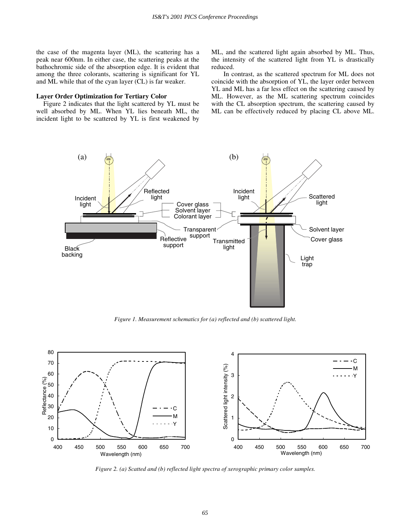the case of the magenta layer (ML), the scattering has a peak near 600nm. In either case, the scattering peaks at the bathochromic side of the absorption edge. It is evident that among the three colorants, scattering is significant for YL and ML while that of the cyan layer (CL) is far weaker.

#### **Layer Order Optimization for Tertiary Color**

Figure 2 indicates that the light scattered by YL must be well absorbed by ML. When YL lies beneath ML, the incident light to be scattered by YL is first weakened by ML, and the scattered light again absorbed by ML. Thus, the intensity of the scattered light from YL is drastically reduced.

In contrast, as the scattered spectrum for ML does not coincide with the absorption of YL, the layer order between YL and ML has a far less effect on the scattering caused by ML. However, as the ML scattering spectrum coincides with the CL absorption spectrum, the scattering caused by ML can be effectively reduced by placing CL above ML.



*Figure 1. Measurement schematics for (a) reflected and (b) scattered light.* 



*Figure 2. (a) Scatted and (b) reflected light spectra of xerographic primary color samples.*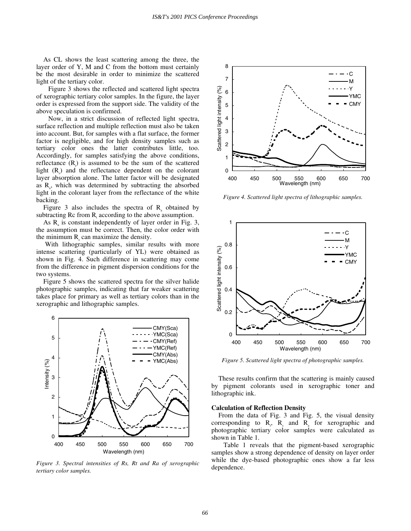As CL shows the least scattering among the three, the layer order of Y, M and C from the bottom must certainly be the most desirable in order to minimize the scattered light of the tertiary color.

Figure 3 shows the reflected and scattered light spectra of xerographic tertiary color samples. In the figure, the layer order is expressed from the support side. The validity of the above speculation is confirmed.

Now, in a strict discussion of reflected light spectra, surface reflection and multiple reflection must also be taken into account. But, for samples with a flat surface, the former factor is negligible, and for high density samples such as tertiary color ones the latter contributes little, too. Accordingly, for samples satisfying the above conditions, reflectance  $(R<sub>i</sub>)$  is assumed to be the sum of the scattered light  $(R_s)$  and the reflectance dependent on the colorant layer absorption alone. The latter factor will be designated as  $R_a$ , which was determined by subtracting the absorbed light in the colorant layer from the reflectance of the white backing.

Figure 3 also includes the spectra of  $R_a$  obtained by subtracting  $\text{Rc}$  from  $\text{R}_{t}$  according to the above assumption.

As  $R_a$  is constant independently of layer order in Fig. 3, the assumption must be correct. Then, the color order with the minimum  $R_s$  can maximize the density.

 With lithographic samples, similar results with more intense scattering (particularly of YL) were obtained as shown in Fig. 4. Such difference in scattering may come from the difference in pigment dispersion conditions for the two systems.

Figure 5 shows the scattered spectra for the silver halide photographic samples, indicating that far weaker scattering takes place for primary as well as tertiary colors than in the xerographic and lithographic samples.



*Figure 3. Spectral intensities of Rs, Rt and Ra of xerographic tertiary color samples.* 



*Figure 4. Scattered light spectra of lithographic samples.* 



*Figure 5. Scattered light spectra of photographic samples.* 

These results confirm that the scattering is mainly caused by pigment colorants used in xerographic toner and lithographic ink.

#### **Calculation of Reflection Density**

From the data of Fig. 3 and Fig. 5, the visual density corresponding to  $R_1$ ,  $R_s$  and  $R_a$  for xerographic and photographic tertiary color samples were calculated as shown in Table 1.

Table 1 reveals that the pigment-based xerographic samples show a strong dependence of density on layer order while the dye-based photographic ones show a far less dependence.